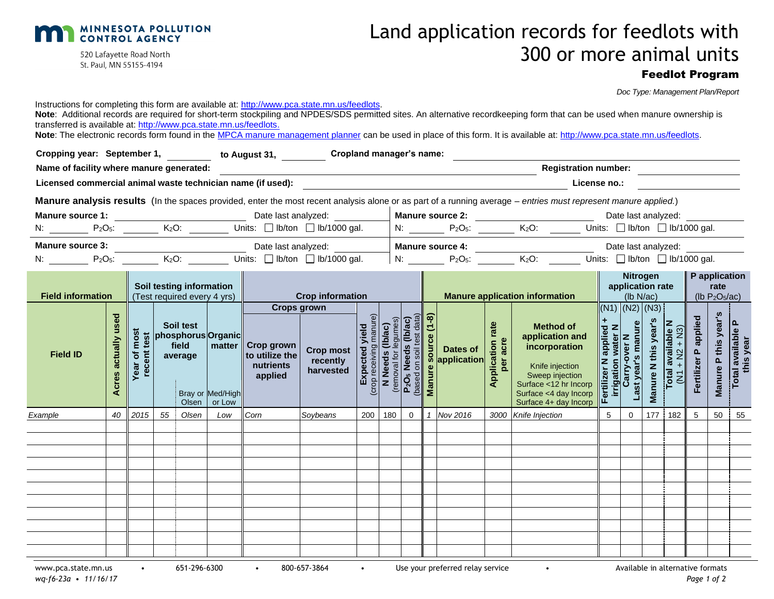

520 Lafayette Road North St. Paul, MN 55155-4194

# Land application records for feedlots with 300 or more animal units

### Feedlot Program

|                                                                                                                                                                             | Doc Type: Management Plan/Report |
|-----------------------------------------------------------------------------------------------------------------------------------------------------------------------------|----------------------------------|
| Instructions for completing this form are available at: http://www.pca.state.mn.us/feedlots.                                                                                |                                  |
| Note: Additional records are required for short-term stockpiling and NPDES/SDS permitted sites. An alternative recordkeeping form that can be used when manure ownership is |                                  |
| transferred is available at: http://www.pca.state.mn.us/feedlots.                                                                                                           |                                  |

Note: The electronic records form found in th[e MPCA manure management planner](https://www.pca.state.mn.us/sites/default/files/wq-f6-12.xlsm) can be used in place of this form. It is available at: [http://www.pca.state.mn.us/feedlots.](http://www.pca.state.mn.us/feedlots)

| Cropping year: September 1, to August 31, Cropland manager's name: |                                  |                                          |    |                               |                                                                        |                                                      |                                                                                                                                                                                                                                                              |     |     |                                         |   |                                                                                  |                                   |                                                                                                                                                                                                                                                                                                |                |                                     |              |     |                           |                           |                                |
|--------------------------------------------------------------------|----------------------------------|------------------------------------------|----|-------------------------------|------------------------------------------------------------------------|------------------------------------------------------|--------------------------------------------------------------------------------------------------------------------------------------------------------------------------------------------------------------------------------------------------------------|-----|-----|-----------------------------------------|---|----------------------------------------------------------------------------------|-----------------------------------|------------------------------------------------------------------------------------------------------------------------------------------------------------------------------------------------------------------------------------------------------------------------------------------------|----------------|-------------------------------------|--------------|-----|---------------------------|---------------------------|--------------------------------|
| Name of facility where manure generated:                           |                                  |                                          |    |                               |                                                                        |                                                      |                                                                                                                                                                                                                                                              |     |     |                                         |   |                                                                                  |                                   | <b>Registration number:</b>                                                                                                                                                                                                                                                                    |                |                                     |              |     |                           |                           |                                |
| Licensed commercial animal waste technician name (if used):        |                                  |                                          |    |                               |                                                                        |                                                      |                                                                                                                                                                                                                                                              |     |     |                                         |   |                                                                                  |                                   | License no.:                                                                                                                                                                                                                                                                                   |                |                                     |              |     |                           |                           |                                |
|                                                                    |                                  |                                          |    |                               |                                                                        |                                                      |                                                                                                                                                                                                                                                              |     |     |                                         |   |                                                                                  |                                   | Manure analysis results (In the spaces provided, enter the most recent analysis alone or as part of a running average - entries must represent manure applied.)                                                                                                                                |                |                                     |              |     |                           |                           |                                |
|                                                                    |                                  |                                          |    |                               |                                                                        |                                                      |                                                                                                                                                                                                                                                              |     |     |                                         |   |                                                                                  |                                   | Date last analyzed: <b>Nanure source 2: Manure 2018</b>                                                                                                                                                                                                                                        |                | Date last analyzed:                 |              |     |                           |                           |                                |
|                                                                    |                                  |                                          |    |                               |                                                                        |                                                      |                                                                                                                                                                                                                                                              |     |     |                                         |   |                                                                                  |                                   |                                                                                                                                                                                                                                                                                                |                |                                     |              |     |                           |                           |                                |
|                                                                    |                                  |                                          |    |                               |                                                                        |                                                      |                                                                                                                                                                                                                                                              |     |     |                                         |   |                                                                                  |                                   |                                                                                                                                                                                                                                                                                                |                | Date last analyzed:                 |              |     |                           |                           |                                |
| N: $P_2O_5$ : $K_2O$ : Units: Ib/ton Ib/1000 gal.                  |                                  |                                          |    |                               |                                                                        |                                                      |                                                                                                                                                                                                                                                              |     |     |                                         |   |                                                                                  |                                   | $\vert$ N: P <sub>2</sub> O <sub>5</sub> : $K_2O$ : Units: $\Box$ Ib/ton $\Box$ Ib/1000 gal.                                                                                                                                                                                                   |                |                                     |              |     |                           |                           |                                |
| <b>Field information</b>                                           |                                  |                                          |    |                               | Soil testing information<br>(Test required every 4 yrs)                |                                                      | <b>Crop information</b>                                                                                                                                                                                                                                      |     |     |                                         |   |                                                                                  |                                   | <b>Manure application information</b>                                                                                                                                                                                                                                                          |                | Nitrogen<br>application rate        | $(lb\ N/ac)$ |     | $\parallel$ P application | rate<br>(lb $P_2O_5/ac$ ) |                                |
| <b>Field ID</b>                                                    | used<br>actually<br><b>Acres</b> | most<br>test<br>ear of<br>recent<br>Year |    | Soil test<br>field<br>average | phosphorus Organic<br>  matter  <br>Bray or Med/High<br>Olsen   or Low | Crop grown<br>to utilize the<br>nutrients<br>applied | <b>Crops grown</b><br>Transport of the Cross of the Cross of the Cross (Ib/a)<br>(Cross of the Cross of the Cross of the Cross of the Cross (Ib/ac)<br>(Cross of the Cross of the Cross of the Cross (Ib/ac)<br>(Cross of the Cross of the Cross (Ib/ac)<br> |     |     | data)<br><b>i</b> (lb/ac)<br>test data) | ၜ | $\begin{array}{c c}\n5 & \text{Dates of} \\ 8 & \text{application}\n\end{array}$ | rate<br><b>Application random</b> | Method of<br>application and<br>incorporation<br>incorporation<br>incorporation<br>incorporation<br>Sweep injection<br>Surface <12 hr Incorp<br>Surface 44 day Incorp<br>Let $\frac{1}{2}$ and $\frac{1}{2}$ and $\frac{1}{2}$ and $\frac{1}{2}$<br>$\frac{1}{2}$ and<br>Surface 4+ day Incorp | LL.            | $(N1)$ $(N2)$ $(N3)$<br>Last year's | Manure I     |     | ertilizer P applied       | Manure P this year's      | Total available P<br>this year |
| Example                                                            |                                  | 40 2015                                  | 55 | Olsen                         | Low                                                                    | Corn                                                 | Soybeans                                                                                                                                                                                                                                                     | 200 | 180 | $\overline{0}$                          |   | 1 Nov 2016                                                                       |                                   | 3000 Knife Injection                                                                                                                                                                                                                                                                           | 5 <sup>5</sup> | $\overline{0}$                      | 177          | 182 | 5                         | 50                        | 55                             |
|                                                                    |                                  |                                          |    |                               |                                                                        |                                                      |                                                                                                                                                                                                                                                              |     |     |                                         |   |                                                                                  |                                   |                                                                                                                                                                                                                                                                                                |                |                                     |              |     |                           |                           |                                |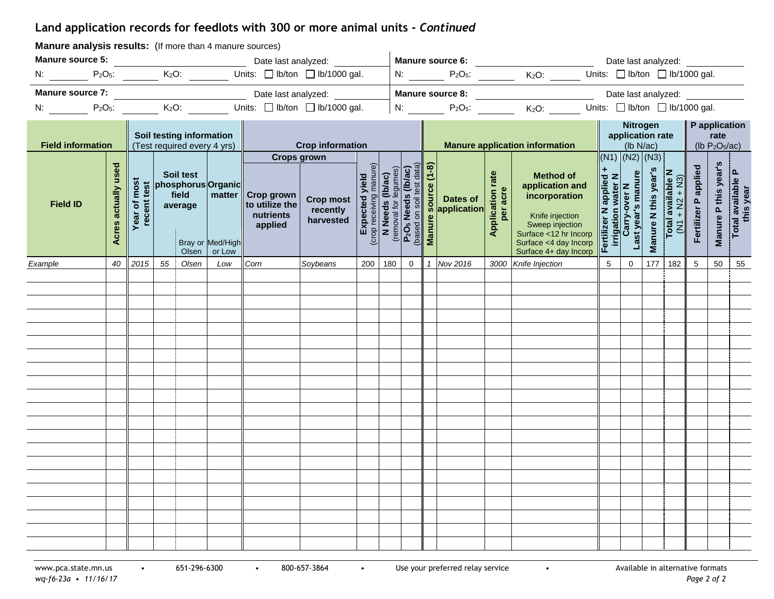## **Land application records for feedlots with 300 or more animal units -** *Continued*

| Manure source 5:<br>Date last analyzed: __________<br>Date last analyzed:<br>N: $P_2O_5$ : $K_2O$ : Units: D lb/ton D lb/1000 gal.<br>N: $P_2O_5$ : $K_2O$ : Units: $\Box$ Ib/ton $\Box$ Ib/1000 gal.<br>Date last analyzed:<br>N: $P_2O_5$ : $K_2O$ : Units: $\Box$ Ib/ton $\Box$ Ib/1000 gal.<br>Nitrogen<br>$\parallel$ P application<br>Soil testing information<br>application rate<br>rate<br>(lb $P_2O_5/ac$ )<br><b>Field information</b><br><b>Crop information</b><br><b>Manure application information</b><br>(Test required every 4 yrs)<br>$(lb\ N/ac)$  <br>$(N1)$ $(N2)$ $(N3)$<br><b>Crops grown</b><br>Soil test<br>phosphorus Organic                                                                                                                                                                                                                   |                                                        |
|---------------------------------------------------------------------------------------------------------------------------------------------------------------------------------------------------------------------------------------------------------------------------------------------------------------------------------------------------------------------------------------------------------------------------------------------------------------------------------------------------------------------------------------------------------------------------------------------------------------------------------------------------------------------------------------------------------------------------------------------------------------------------------------------------------------------------------------------------------------------------|--------------------------------------------------------|
|                                                                                                                                                                                                                                                                                                                                                                                                                                                                                                                                                                                                                                                                                                                                                                                                                                                                           |                                                        |
|                                                                                                                                                                                                                                                                                                                                                                                                                                                                                                                                                                                                                                                                                                                                                                                                                                                                           |                                                        |
|                                                                                                                                                                                                                                                                                                                                                                                                                                                                                                                                                                                                                                                                                                                                                                                                                                                                           |                                                        |
|                                                                                                                                                                                                                                                                                                                                                                                                                                                                                                                                                                                                                                                                                                                                                                                                                                                                           |                                                        |
|                                                                                                                                                                                                                                                                                                                                                                                                                                                                                                                                                                                                                                                                                                                                                                                                                                                                           |                                                        |
| Acres actually used<br><b>Crop most</b><br><b>Expected yield</b><br><b>Expected yield</b><br><b>Expected yield</b><br><b>Expected yield</b><br><b>Expected yield</b><br><b>Expected yield</b><br><b>Expected yield</b><br><b>Expected yield</b><br><b>Expected yield</b><br><b>Expected yield</b><br><b>Expected yield</b><br><b>Expected y</b><br>Fertilizer P applied<br>Method of<br>application and<br>incorporation<br>incorporation<br>incorporation<br>incorporation<br>Sweep injection<br>Surface <12 hr Incorp<br>Surface <4 day Incorp<br>Surface 44 day Incorp<br>Total available N<br>(N1 + N2 + N3)<br><b>Application rate</b><br>per acre<br><b>Year of most</b><br>field<br>matter<br><b>Crop grown</b><br>Dates of<br>recent t<br><b>Field ID</b><br>to utilize the<br>average<br>application<br>nutrients<br>applied<br>Bray or Med/High<br>Olsen or Low | Manure P this year's<br>Total available P<br>this year |
| Corn<br>200 180<br>1 Nov 2016<br>2015 55 Olsen<br>Soybeans<br>$\overline{0}$<br>3000 Knife Injection<br>$0-1$<br>177 182<br>5 <sup>5</sup><br>40<br>Low<br>5 <sup>5</sup><br>Example                                                                                                                                                                                                                                                                                                                                                                                                                                                                                                                                                                                                                                                                                      | 50<br>55                                               |
|                                                                                                                                                                                                                                                                                                                                                                                                                                                                                                                                                                                                                                                                                                                                                                                                                                                                           |                                                        |
|                                                                                                                                                                                                                                                                                                                                                                                                                                                                                                                                                                                                                                                                                                                                                                                                                                                                           |                                                        |
|                                                                                                                                                                                                                                                                                                                                                                                                                                                                                                                                                                                                                                                                                                                                                                                                                                                                           |                                                        |
|                                                                                                                                                                                                                                                                                                                                                                                                                                                                                                                                                                                                                                                                                                                                                                                                                                                                           |                                                        |
|                                                                                                                                                                                                                                                                                                                                                                                                                                                                                                                                                                                                                                                                                                                                                                                                                                                                           |                                                        |
|                                                                                                                                                                                                                                                                                                                                                                                                                                                                                                                                                                                                                                                                                                                                                                                                                                                                           |                                                        |
|                                                                                                                                                                                                                                                                                                                                                                                                                                                                                                                                                                                                                                                                                                                                                                                                                                                                           |                                                        |
|                                                                                                                                                                                                                                                                                                                                                                                                                                                                                                                                                                                                                                                                                                                                                                                                                                                                           |                                                        |
|                                                                                                                                                                                                                                                                                                                                                                                                                                                                                                                                                                                                                                                                                                                                                                                                                                                                           |                                                        |
|                                                                                                                                                                                                                                                                                                                                                                                                                                                                                                                                                                                                                                                                                                                                                                                                                                                                           |                                                        |
|                                                                                                                                                                                                                                                                                                                                                                                                                                                                                                                                                                                                                                                                                                                                                                                                                                                                           |                                                        |
|                                                                                                                                                                                                                                                                                                                                                                                                                                                                                                                                                                                                                                                                                                                                                                                                                                                                           |                                                        |
|                                                                                                                                                                                                                                                                                                                                                                                                                                                                                                                                                                                                                                                                                                                                                                                                                                                                           |                                                        |
|                                                                                                                                                                                                                                                                                                                                                                                                                                                                                                                                                                                                                                                                                                                                                                                                                                                                           |                                                        |
|                                                                                                                                                                                                                                                                                                                                                                                                                                                                                                                                                                                                                                                                                                                                                                                                                                                                           |                                                        |
|                                                                                                                                                                                                                                                                                                                                                                                                                                                                                                                                                                                                                                                                                                                                                                                                                                                                           |                                                        |
|                                                                                                                                                                                                                                                                                                                                                                                                                                                                                                                                                                                                                                                                                                                                                                                                                                                                           |                                                        |
|                                                                                                                                                                                                                                                                                                                                                                                                                                                                                                                                                                                                                                                                                                                                                                                                                                                                           |                                                        |
|                                                                                                                                                                                                                                                                                                                                                                                                                                                                                                                                                                                                                                                                                                                                                                                                                                                                           |                                                        |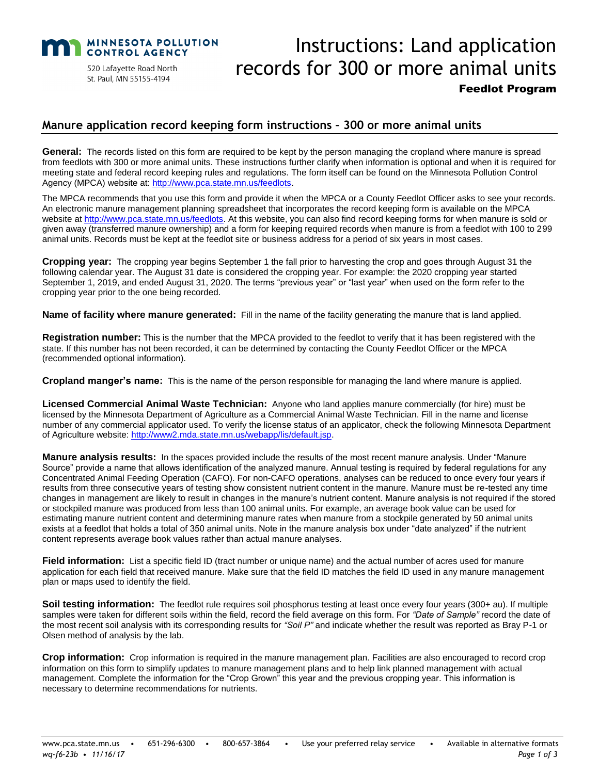

520 Lafayette Road North St. Paul, MN 55155-4194

# Instructions: Land application records for 300 or more animal units Feedlot Program

#### **Manure application record keeping form instructions – 300 or more animal units**

General: The records listed on this form are required to be kept by the person managing the cropland where manure is spread from feedlots with 300 or more animal units. These instructions further clarify when information is optional and when it is required for meeting state and federal record keeping rules and regulations. The form itself can be found on the Minnesota Pollution Control Agency (MPCA) website at[: http://www.pca.state.mn.us/feedlots.](http://www.pca.state.mn.us/feedlots)

The MPCA recommends that you use this form and provide it when the MPCA or a County Feedlot Officer asks to see your records. An electronic manure management planning spreadsheet that incorporates the record keeping form is available on the MPCA website at [http://www.pca.state.mn.us/feedlots.](http://www.pca.state.mn.us/feedlots) At this website, you can also find record keeping forms for when manure is sold or given away (transferred manure ownership) and a form for keeping required records when manure is from a feedlot with 100 to 299 animal units. Records must be kept at the feedlot site or business address for a period of six years in most cases.

**Cropping year:** The cropping year begins September 1 the fall prior to harvesting the crop and goes through August 31 the following calendar year. The August 31 date is considered the cropping year. For example: the 2020 cropping year started September 1, 2019, and ended August 31, 2020. The terms "previous year" or "last year" when used on the form refer to the cropping year prior to the one being recorded.

**Name of facility where manure generated:** Fill in the name of the facility generating the manure that is land applied.

**Registration number:** This is the number that the MPCA provided to the feedlot to verify that it has been registered with the state. If this number has not been recorded, it can be determined by contacting the County Feedlot Officer or the MPCA (recommended optional information).

**Cropland manger's name:** This is the name of the person responsible for managing the land where manure is applied.

**Licensed Commercial Animal Waste Technician:** Anyone who land applies manure commercially (for hire) must be licensed by the Minnesota Department of Agriculture as a Commercial Animal Waste Technician. Fill in the name and license number of any commercial applicator used. To verify the license status of an applicator, check the following Minnesota Department of Agriculture website: [http://www2.mda.state.mn.us/webapp/lis/default.jsp.](http://www2.mda.state.mn.us/webapp/lis/default.jsp)

**Manure analysis results:** In the spaces provided include the results of the most recent manure analysis. Under "Manure Source" provide a name that allows identification of the analyzed manure. Annual testing is required by federal regulations for any Concentrated Animal Feeding Operation (CAFO). For non-CAFO operations, analyses can be reduced to once every four years if results from three consecutive years of testing show consistent nutrient content in the manure. Manure must be re-tested any time changes in management are likely to result in changes in the manure's nutrient content. Manure analysis is not required if the stored or stockpiled manure was produced from less than 100 animal units. For example, an average book value can be used for estimating manure nutrient content and determining manure rates when manure from a stockpile generated by 50 animal units exists at a feedlot that holds a total of 350 animal units. Note in the manure analysis box under "date analyzed" if the nutrient content represents average book values rather than actual manure analyses.

**Field information:** List a specific field ID (tract number or unique name) and the actual number of acres used for manure application for each field that received manure. Make sure that the field ID matches the field ID used in any manure management plan or maps used to identify the field.

**Soil testing information:** The feedlot rule requires soil phosphorus testing at least once every four years (300+ au). If multiple samples were taken for different soils within the field, record the field average on this form. For *"Date of Sample"* record the date of the most recent soil analysis with its corresponding results for *"Soil P"* and indicate whether the result was reported as Bray P-1 or Olsen method of analysis by the lab.

**Crop information:** Crop information is required in the manure management plan. Facilities are also encouraged to record crop information on this form to simplify updates to manure management plans and to help link planned management with actual management. Complete the information for the "Crop Grown" this year and the previous cropping year. This information is necessary to determine recommendations for nutrients.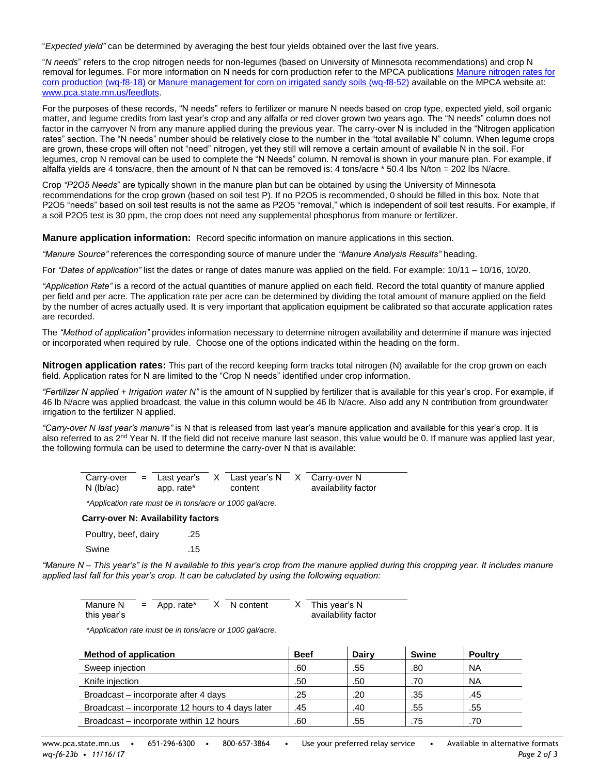"*Expected yield"* can be determined by averaging the best four yields obtained over the last five years.

"*N needs*" refers to the crop nitrogen needs for non-legumes (based on University of Minnesota recommendations) and crop N removal for legumes. For more information on N needs for corn production refer to the MPCA publications [Manure nitrogen rates for](https://www.pca.state.mn.us/sites/default/files/wq-f8-18.pdf)  [corn production \(wq-f8-18\)](https://www.pca.state.mn.us/sites/default/files/wq-f8-18.pdf) or [Manure management for corn on irrigated sandy soils \(wq-f8-52\)](https://www.pca.state.mn.us/sites/default/files/wq-f8-52.pdf) available on the MPCA website at: [www.pca.state.mn.us/feedlots.](http://www.pca.state.mn.us/feedlots)

For the purposes of these records, "N needs" refers to fertilizer or manure N needs based on crop type, expected yield, soil organic matter, and legume credits from last year's crop and any alfalfa or red clover grown two years ago. The "N needs" column does not factor in the carryover N from any manure applied during the previous year. The carry-over N is included in the "Nitrogen application rates" section. The "N needs" number should be relatively close to the number in the "total available N" column. When legume crops are grown, these crops will often not "need" nitrogen, yet they still will remove a certain amount of available N in the soil. For legumes, crop N removal can be used to complete the "N Needs" column. N removal is shown in your manure plan. For example, if alfalfa yields are 4 tons/acre, then the amount of N that can be removed is: 4 tons/acre \* 50.4 lbs N/ton = 202 lbs N/acre.

Crop *"P2O5 Needs*" are typically shown in the manure plan but can be obtained by using the University of Minnesota recommendations for the crop grown (based on soil test P). If no P2O5 is recommended, 0 should be filled in this box. Note that P2O5 "needs" based on soil test results is not the same as P2O5 "removal," which is independent of soil test results. For example, if a soil P2O5 test is 30 ppm, the crop does not need any supplemental phosphorus from manure or fertilizer.

**Manure application information:** Record specific information on manure applications in this section.

*"Manure Source"* references the corresponding source of manure under the *"Manure Analysis Results"* heading.

For *"Dates of application"* list the dates or range of dates manure was applied on the field. For example: 10/11 – 10/16, 10/20.

*"Application Rate"* is a record of the actual quantities of manure applied on each field. Record the total quantity of manure applied per field and per acre. The application rate per acre can be determined by dividing the total amount of manure applied on the field by the number of acres actually used. It is very important that application equipment be calibrated so that accurate application rates are recorded.

The *"Method of application"* provides information necessary to determine nitrogen availability and determine if manure was injected or incorporated when required by rule. Choose one of the options indicated within the heading on the form.

**Nitrogen application rates:** This part of the record keeping form tracks total nitrogen (N) available for the crop grown on each field. Application rates for N are limited to the "Crop N needs" identified under crop information.

*"Fertilizer N applied + Irrigation water N"* is the amount of N supplied by fertilizer that is available for this year's crop. For example, if 46 lb N/acre was applied broadcast, the value in this column would be 46 lb N/acre. Also add any N contribution from groundwater irrigation to the fertilizer N applied.

*"Carry-over N last year's manure"* is N that is released from last year's manure application and available for this year's crop. It is also referred to as 2<sup>nd</sup> Year N. If the field did not receive manure last season, this value would be 0. If manure was applied last year, the following formula can be used to determine the carry-over N that is available:

| Carry-over<br>$N$ (lb/ac) | $=$ Last year's<br>app. rate* | X Last year's N<br>content | X Carry-over N<br>availability factor |
|---------------------------|-------------------------------|----------------------------|---------------------------------------|
|                           |                               |                            |                                       |

*\*Application rate must be in tons/acre or 1000 gal/acre.*

**Carry-over N: Availability factors**

| Poultry, beef, dairy | .25 |
|----------------------|-----|
| Swine                | .15 |

*"Manure N – This year's" is the N available to this year's crop from the manure applied during this cropping year. It includes manure applied last fall for this year's crop. It can be caluclated by using the following equation:*

| Manure N    | $=$ App. rate* | X N content | $X$ This year's N   |
|-------------|----------------|-------------|---------------------|
| this year's |                |             | availability factor |

*\*Application rate must be in tons/acre or 1000 gal/acre.*

| <b>Method of application</b>                     | <b>Beef</b> | <b>Dairy</b> | <b>Swine</b> | <b>Poultry</b> |
|--------------------------------------------------|-------------|--------------|--------------|----------------|
| Sweep injection                                  | .60         | .55          | .80          | <b>NA</b>      |
| Knife injection                                  | .50         | .50          | .70          | <b>NA</b>      |
| Broadcast – incorporate after 4 days             | .25         | .20          | .35          | .45            |
| Broadcast – incorporate 12 hours to 4 days later | .45         | .40          | .55          | .55            |
| Broadcast – incorporate within 12 hours          | .60         | .55          | .75          | .70            |